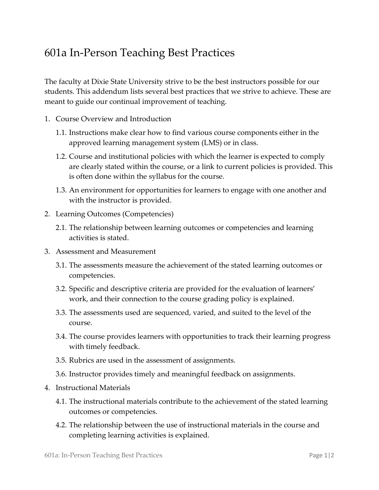## 601a In-Person Teaching Best Practices

The faculty at Dixie State University strive to be the best instructors possible for our students. This addendum lists several best practices that we strive to achieve. These are meant to guide our continual improvement of teaching.

- 1. Course Overview and Introduction
	- 1.1. Instructions make clear how to find various course components either in the approved learning management system (LMS) or in class.
	- 1.2. Course and institutional policies with which the learner is expected to comply are clearly stated within the course, or a link to current policies is provided. This is often done within the syllabus for the course.
	- 1.3. An environment for opportunities for learners to engage with one another and with the instructor is provided.
- 2. Learning Outcomes (Competencies)
	- 2.1. The relationship between learning outcomes or competencies and learning activities is stated.
- 3. Assessment and Measurement
	- 3.1. The assessments measure the achievement of the stated learning outcomes or competencies.
	- 3.2. Specific and descriptive criteria are provided for the evaluation of learners' work, and their connection to the course grading policy is explained.
	- 3.3. The assessments used are sequenced, varied, and suited to the level of the course.
	- 3.4. The course provides learners with opportunities to track their learning progress with timely feedback.
	- 3.5. Rubrics are used in the assessment of assignments.
	- 3.6. Instructor provides timely and meaningful feedback on assignments.
- 4. Instructional Materials
	- 4.1. The instructional materials contribute to the achievement of the stated learning outcomes or competencies.
	- 4.2. The relationship between the use of instructional materials in the course and completing learning activities is explained.